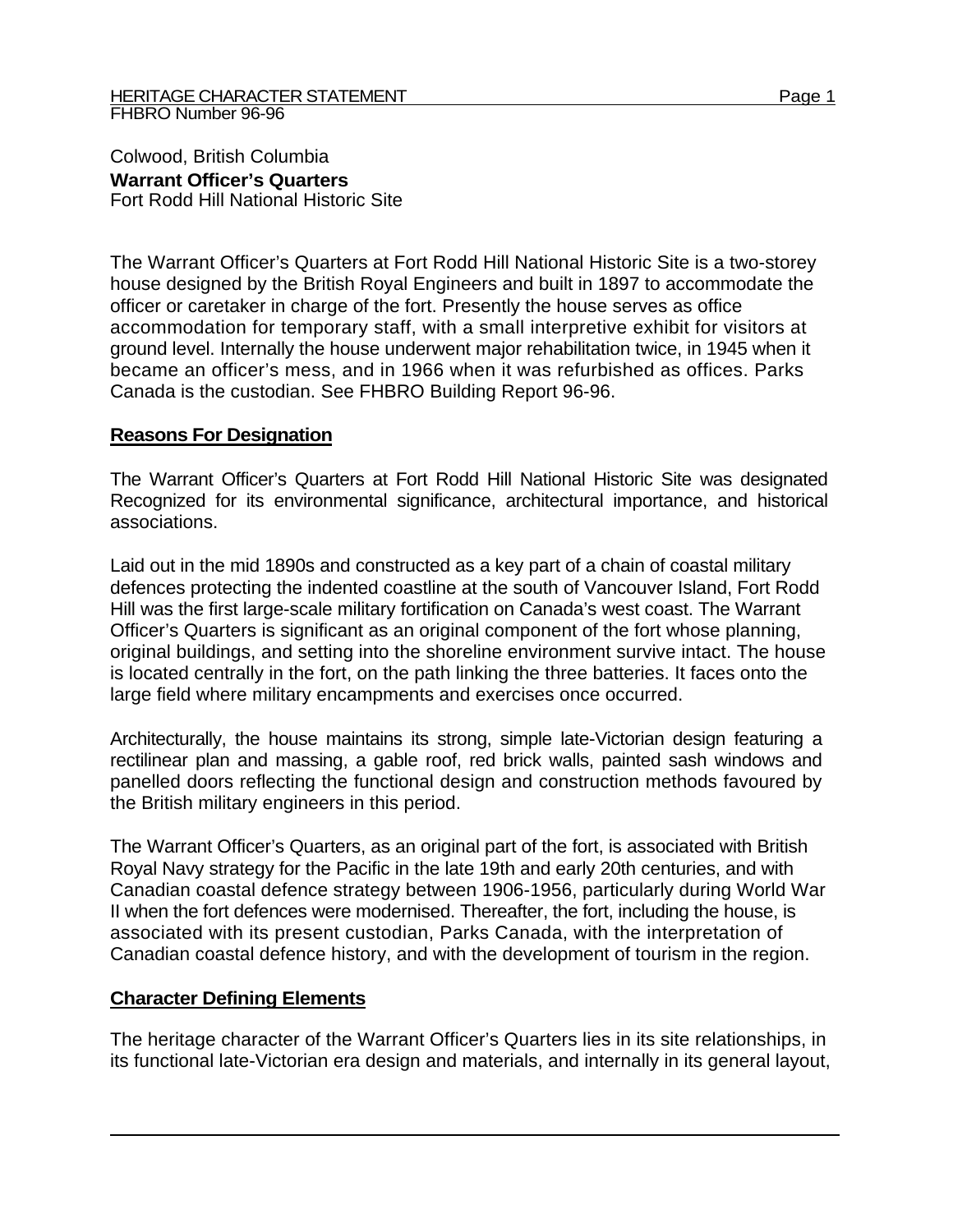Colwood, British Columbia **Warrant Officer's Quarters**  Fort Rodd Hill National Historic Site

The Warrant Officer's Quarters at Fort Rodd Hill National Historic Site is a two-storey house designed by the British Royal Engineers and built in 1897 to accommodate the officer or caretaker in charge of the fort. Presently the house serves as office accommodation for temporary staff, with a small interpretive exhibit for visitors at ground level. Internally the house underwent major rehabilitation twice, in 1945 when it became an officer's mess, and in 1966 when it was refurbished as offices. Parks Canada is the custodian. See FHBRO Building Report 96-96.

## **Reasons For Designation**

The Warrant Officer's Quarters at Fort Rodd Hill National Historic Site was designated Recognized for its environmental significance, architectural importance, and historical associations.

Laid out in the mid 1890s and constructed as a key part of a chain of coastal military defences protecting the indented coastline at the south of Vancouver Island, Fort Rodd Hill was the first large-scale military fortification on Canada's west coast. The Warrant Officer's Quarters is significant as an original component of the fort whose planning, original buildings, and setting into the shoreline environment survive intact. The house is located centrally in the fort, on the path linking the three batteries. It faces onto the large field where military encampments and exercises once occurred.

Architecturally, the house maintains its strong, simple late-Victorian design featuring a rectilinear plan and massing, a gable roof, red brick walls, painted sash windows and panelled doors reflecting the functional design and construction methods favoured by the British military engineers in this period.

The Warrant Officer's Quarters, as an original part of the fort, is associated with British Royal Navy strategy for the Pacific in the late 19th and early 20th centuries, and with Canadian coastal defence strategy between 1906-1956, particularly during World War II when the fort defences were modernised. Thereafter, the fort, including the house, is associated with its present custodian, Parks Canada, with the interpretation of Canadian coastal defence history, and with the development of tourism in the region.

## **Character Defining Elements**

The heritage character of the Warrant Officer's Quarters lies in its site relationships, in its functional late-Victorian era design and materials, and internally in its general layout,